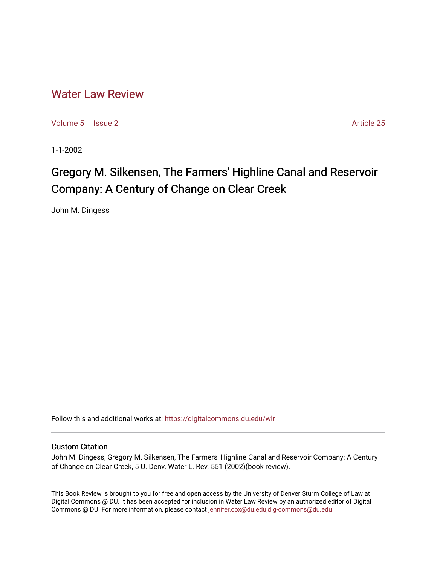## [Water Law Review](https://digitalcommons.du.edu/wlr)

[Volume 5](https://digitalcommons.du.edu/wlr/vol5) | [Issue 2](https://digitalcommons.du.edu/wlr/vol5/iss2) Article 25

1-1-2002

# Gregory M. Silkensen, The Farmers' Highline Canal and Reservoir Company: A Century of Change on Clear Creek

John M. Dingess

Follow this and additional works at: [https://digitalcommons.du.edu/wlr](https://digitalcommons.du.edu/wlr?utm_source=digitalcommons.du.edu%2Fwlr%2Fvol5%2Fiss2%2F25&utm_medium=PDF&utm_campaign=PDFCoverPages) 

#### Custom Citation

John M. Dingess, Gregory M. Silkensen, The Farmers' Highline Canal and Reservoir Company: A Century of Change on Clear Creek, 5 U. Denv. Water L. Rev. 551 (2002)(book review).

This Book Review is brought to you for free and open access by the University of Denver Sturm College of Law at Digital Commons @ DU. It has been accepted for inclusion in Water Law Review by an authorized editor of Digital Commons @ DU. For more information, please contact [jennifer.cox@du.edu,dig-commons@du.edu.](mailto:jennifer.cox@du.edu,dig-commons@du.edu)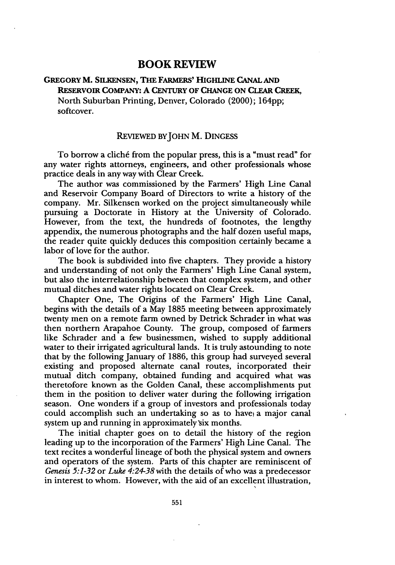### **BOOK REVIEW**

### **GREGORY M. SILKENSEN, THE FARMERS' HIGHLINE CANAL AND RESERVOIR COMPANY: A CENTURY OF CHANGE ON CLEAR CREEK,** North Suburban Printing, Denver, Colorado (2000); 164pp; softcover.

#### REVIEWED BYJOHN M. **DINGESS**

To borrow a cliché from the popular press, this is a "must read" for any water rights attorneys, engineers, and other professionals whose practice deals in any way with Clear Creek.

The author was commissioned **by** the Farmers' High Line Canal and Reservoir Company Board of Directors to write a history of the company. Mr. Silkensen worked on the project simultaneously while pursuing a Doctorate in History at the University of Colorado. However, from the text, the hundreds of footnotes, the lengthy appendix, the numerous photographs and the half dozen useful maps, the reader quite quickly deduces this composition certainly became a labor of love for the author.

The book is subdivided into five chapters. They provide a history and understanding of not only the Farmers' High Line Canal system, but also the interrelationship between that complex system, and other mutual ditches and water rights located on Clear Creek.

Chapter One, The Origins of the Farmers' High Line Canal, begins with the details of a May 1885 meeting between approximately twenty men on a remote farm owned by Detrick Schrader in what was then northern Arapahoe County. The group, composed of farmers like Schrader and a few businessmen, wished to supply additional water to their irrigated agricultural lands. It is truly astounding to note that by the following January of 1886, this group had surveyed several existing and proposed alternate canal routes, incorporated their mutual ditch company, obtained funding and acquired what was theretofore known as the Golden Canal, these accomplishments put them in the position to deliver water during the following irrigation season. One wonders if a group of investors and professionals today could accomplish such an undertaking so as to have a major canal system up and running in approximately six months.

The initial chapter goes on to detail the history of the region leading up to the incorporation of the Farmers' High Line Canal. The text recites a wonderful lineage of both the physical system and owners and operators of the system. Parts of this chapter are reminiscent of *Genesis 5:1-32* or *Luke 4:24-38* with the details of who was a predecessor in interest to whom. However, with the aid of an excellent illustration,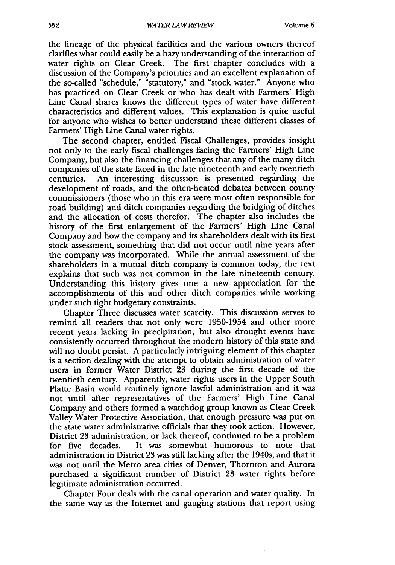the lineage of the physical facilities and the various owners thereof clarifies what could easily be a hazy understanding of the interaction of water rights on Clear Creek. The first chapter concludes with a discussion of the Company's priorities and an excellent explanation of the so-called "schedule," "statutory," and "stock water." Anyone who has practiced on Clear Creek or who has dealt with Farmers' High Line Canal shares knows the different types of water have different characteristics and different values. This explanation is quite useful for anyone who wishes to better understand these different classes of Farmers' High Line Canal water rights.

The second chapter, entitled Fiscal Challenges, provides insight not only to the early fiscal challenges facing the Farmers' High Line Company, but also the financing challenges that any of the many ditch companies of the state faced in the late nineteenth and early twentieth centuries. An interesting discussion is presented regarding the development of roads, and the often-heated debates between county commissioners (those who in this era were most often responsible for road building) and ditch companies regarding the bridging of ditches and the allocation of costs therefor. The chapter also includes the history of the first enlargement of the Farmers' High Line Canal Company and how the company and its shareholders dealt with its first stock assessment, something that did not occur until nine years after the company was incorporated. While the annual assessment of the shareholders in a mutual ditch company is common today, the text explains that such was not common in the late nineteenth century. Understanding this history gives one a new appreciation for the accomplishments of this and other ditch companies while working under such tight budgetary constraints.

Chapter Three discusses water scarcity. This discussion serves to remind all readers that not only were 1950-1954 and other more recent years lacking in precipitation, but also drought events have consistently occurred throughout the modern history of this state and will no doubt persist. A particularly intriguing element of this chapter is a section dealing with the attempt to obtain administration of water users in former Water District 23 during the first decade of the twentieth century. Apparently, water rights users in the Upper South Platte Basin would routinely ignore lawful administration and it was not until after representatives of the Farmers' High Line Canal Company and others formed a watchdog group known as Clear Creek Valley Water Protective Association, that enough pressure was put on the state water administrative officials that they took action. However, District 23 administration, or lack thereof, continued to be a problem for five decades. It was somewhat humorous to note that administration in District 23 was still lacking after the 1940s, and that it was not until the Metro area cities of Denver, Thornton and Aurora purchased a significant number of District 23 water rights before legitimate administration occurred.

Chapter Four deals with the canal operation and water quality. In the same way as the Internet and gauging stations that report using